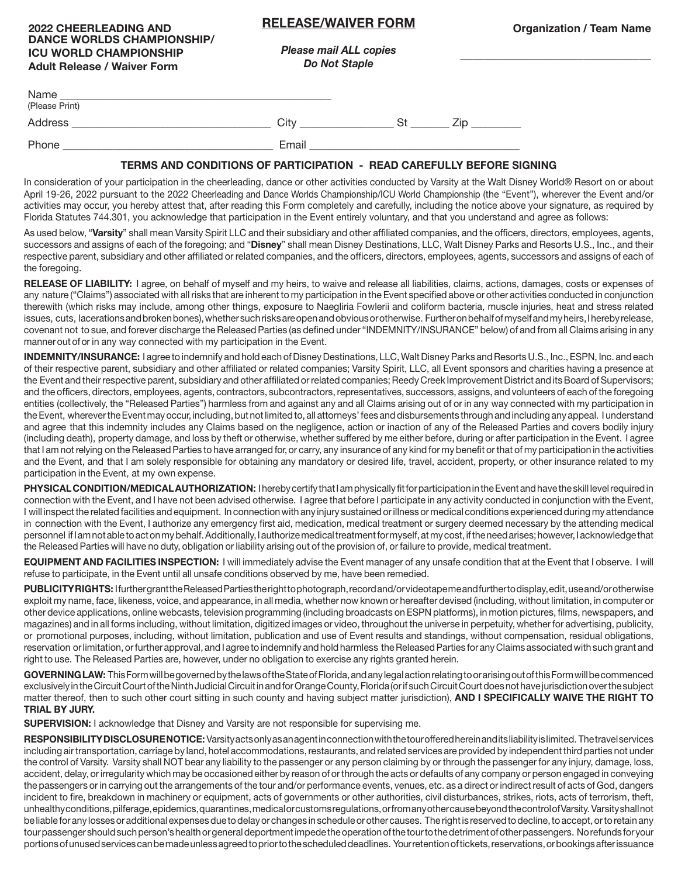## **RELEASE/WAIVER FORM**

**\_\_\_\_\_\_\_\_\_\_\_\_\_\_\_\_\_\_\_\_\_\_\_\_\_\_\_\_\_\_\_**

| <b>2022 CHEERLEADING AND</b>       |
|------------------------------------|
| <b>DANCE WORLDS CHAMPIONSHIP/</b>  |
| <b>ICU WORLD CHAMPIONSHIP</b>      |
| <b>Adult Release / Waiver Form</b> |

*Please mail ALL copies Do Not Staple* 

| Name<br>(Please Print) |       |  |
|------------------------|-------|--|
| Address                | City  |  |
| Phone                  | Email |  |

## **TERMS AND CONDITIONS OF PARTICIPATION - READ CAREFULLY BEFORE SIGNING**

In consideration of your participation in the cheerleading, dance or other activities conducted by Varsity at the Walt Disney World® Resort on or about April 19-26, 2022 pursuant to the 2022 Cheerleading and Dance Worlds Championship/ICU World Championship (the "Event"), wherever the Event and/or activities may occur, you hereby attest that, after reading this Form completely and carefully, including the notice above your signature, as required by Florida Statutes 744.301, you acknowledge that participation in the Event entirely voluntary, and that you understand and agree as follows:

As used below, "**Varsity**" shall mean Varsity Spirit LLC and their subsidiary and other affiliated companies, and the officers, directors, employees, agents, successors and assigns of each of the foregoing; and "**Disney**" shall mean Disney Destinations, LLC, Walt Disney Parks and Resorts U.S., Inc., and their respective parent, subsidiary and other affiliated or related companies, and the officers, directors, employees, agents, successors and assigns of each of the foregoing.

**RELEASE OF LIABILITY:** I agree, on behalf of myself and my heirs, to waive and release all liabilities, claims, actions, damages, costs or expenses of any nature ("Claims") associated with all risks that are inherent to my participation in the Event specified above or other activities conducted in conjunction therewith (which risks may include, among other things, exposure to Naegliria Fowlerii and coliform bacteria, muscle injuries, heat and stress related issues, cuts, lacerations and broken bones), whether such risks are open and obvious or otherwise. Further on behalf of myself and my heirs, I hereby release, covenant not to sue, and forever discharge the Released Parties (as defined under "INDEMNITY/INSURANCE" below) of and from all Claims arising in any manner out of or in any way connected with my participation in the Event.

**INDEMNITY/INSURANCE:** I agree to indemnify and hold each of Disney Destinations, LLC, Walt Disney Parks and Resorts U.S., Inc., ESPN, Inc. and each of their respective parent, subsidiary and other affiliated or related companies; Varsity Spirit, LLC, all Event sponsors and charities having a presence at the Event and their respective parent, subsidiary and other affiliated or related companies; Reedy Creek Improvement District and its Board of Supervisors; and the officers, directors, employees, agents, contractors, subcontractors, representatives, successors, assigns, and volunteers of each of the foregoing entities (collectively, the "Released Parties") harmless from and against any and all Claims arising out of or in any way connected with my participation in the Event, wherever the Event may occur, including, but not limited to, all attorneys' fees and disbursements through and including any appeal. I understand and agree that this indemnity includes any Claims based on the negligence, action or inaction of any of the Released Parties and covers bodily injury (including death), property damage, and loss by theft or otherwise, whether suffered by me either before, during or after participation in the Event. I agree that I am not relying on the Released Parties to have arranged for, or carry, any insurance of any kind for my benefit or that of my participation in the activities and the Event, and that I am solely responsible for obtaining any mandatory or desired life, travel, accident, property, or other insurance related to my participation in the Event, at my own expense.

**PHYSICAL CONDITION/MEDICAL AUTHORIZATION:** I hereby certify that I am physically fit for participation in the Event and have the skill level required in connection with the Event, and I have not been advised otherwise. I agree that before I participate in any activity conducted in conjunction with the Event, I will inspect the related facilities and equipment. In connection with any injury sustained or illness or medical conditions experienced during my attendance in connection with the Event, I authorize any emergency first aid, medication, medical treatment or surgery deemed necessary by the attending medical personnel if I am not able to act on my behalf. Additionally, I authorize medical treatment for myself, at my cost, if the need arises; however, I acknowledge that the Released Parties will have no duty, obligation or liability arising out of the provision of, or failure to provide, medical treatment.

**EQUIPMENT AND FACILITIES INSPECTION:** I will immediately advise the Event manager of any unsafe condition that at the Event that I observe. I will refuse to participate, in the Event until all unsafe conditions observed by me, have been remedied.

**PUBLICITY RIGHTS:** I further grant the Released Parties the right to photograph, record and/or videotape me and further to display, edit, use and/or otherwise exploit my name, face, likeness, voice, and appearance, in all media, whether now known or hereafter devised (including, without limitation, in computer or other device applications, online webcasts, television programming (including broadcasts on ESPN platforms), in motion pictures, films, newspapers, and magazines) and in all forms including, without limitation, digitized images or video, throughout the universe in perpetuity, whether for advertising, publicity, or promotional purposes, including, without limitation, publication and use of Event results and standings, without compensation, residual obligations, reservation or limitation, or further approval, and I agree to indemnify and hold harmless the Released Parties for any Claims associated with such grant and right to use. The Released Parties are, however, under no obligation to exercise any rights granted herein.

**GOVERNING LAW:** This Form will be governed by the laws of the State of Florida, and any legal action relating to or arising out of this Form will be commenced exclusively in the Circuit Court of the Ninth Judicial Circuit in and for Orange County, Florida (or if such Circuit Court does not have jurisdiction over the subject matter thereof, then to such other court sitting in such county and having subject matter jurisdiction), **AND I SPECIFICALLY WAIVE THE RIGHT TO TRIAL BY JURY.**

**SUPERVISION:** I acknowledge that Disney and Varsity are not responsible for supervising me.

**RESPONSIBILITY DISCLOSURE NOTICE:** Varsity acts only as an agent in connection with the tour offered herein and its liability is limited. The travel services including air transportation, carriage by land, hotel accommodations, restaurants, and related services are provided by independent third parties not under the control of Varsity. Varsity shall NOT bear any liability to the passenger or any person claiming by or through the passenger for any injury, damage, loss, accident, delay, or irregularity which may be occasioned either by reason of or through the acts or defaults of any company or person engaged in conveying the passengers or in carrying out the arrangements of the tour and/or performance events, venues, etc. as a direct or indirect result of acts of God, dangers incident to fire, breakdown in machinery or equipment, acts of governments or other authorities, civil disturbances, strikes, riots, acts of terrorism, theft, unhealthy conditions, pilferage, epidemics, quarantines, medical or customs regulations, or from any other cause beyond the control of Varsity. Varsity shall not be liable for any losses or additional expenses due to delay or changes in schedule or other causes. The right is reserved to decline, to accept, or to retain any tour passenger should such person's health or general deportment impede the operation of the tour to the detriment of other passengers. No refunds for your portions of unused services can be made unless agreed to prior to the scheduled deadlines. Your retention of tickets, reservations, or bookings after issuance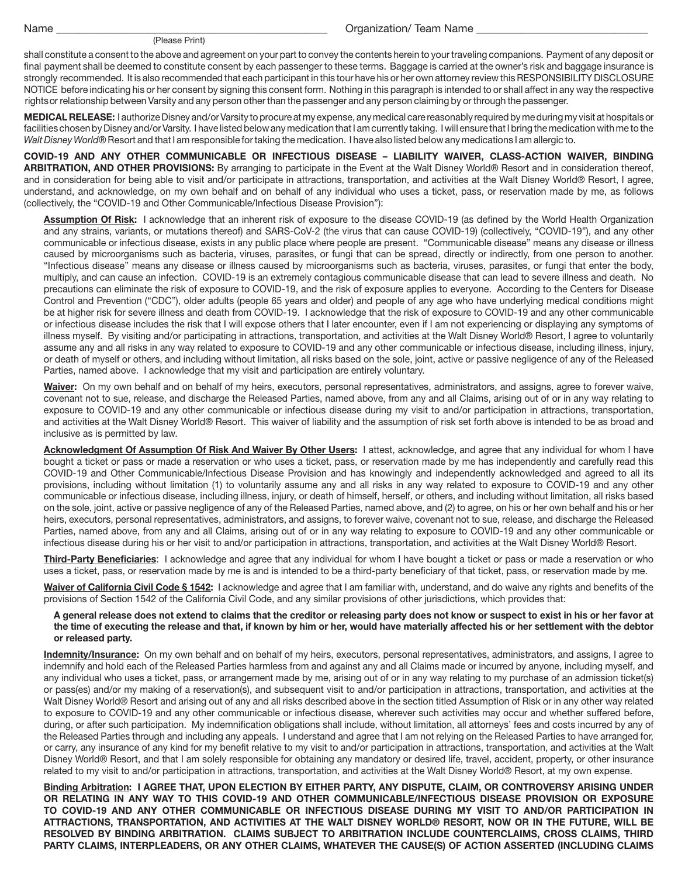Name \_\_\_\_\_\_\_\_\_\_\_\_\_\_\_\_\_\_\_\_\_\_\_\_\_\_\_\_\_\_\_\_\_\_\_\_\_\_\_\_\_\_\_\_\_\_\_\_\_

## (Please Print)

Organization/ Team Name

shall constitute a consent to the above and agreement on your part to convey the contents herein to your traveling companions. Payment of any deposit or final payment shall be deemed to constitute consent by each passenger to these terms. Baggage is carried at the owner's risk and baggage insurance is strongly recommended. It is also recommended that each participant in this tour have his or her own attorney review this RESPONSIBILITY DISCLOSURE NOTICE before indicating his or her consent by signing this consent form. Nothing in this paragraph is intended to or shall affect in any way the respective rights or relationship between Varsity and any person other than the passenger and any person claiming by or through the passenger.

**MEDICAL RELEASE:** I authorize Disney and/or Varsity to procure at my expense, any medical care reasonably required by me during my visit at hospitals or facilities chosen by Disney and/or Varsity. I have listed below any medication that I am currently taking. I will ensure that I bring the medication with me to the *Walt Disney World*® Resort and that I am responsible for taking the medication. I have also listed below any medications I am allergic to.

**COVID-19 AND ANY OTHER COMMUNICABLE OR INFECTIOUS DISEASE – LIABILITY WAIVER, CLASS-ACTION WAIVER, BINDING ARBITRATION, AND OTHER PROVISIONS:** By arranging to participate in the Event at the Walt Disney World® Resort and in consideration thereof, and in consideration for being able to visit and/or participate in attractions, transportation, and activities at the Walt Disney World® Resort, I agree, understand, and acknowledge, on my own behalf and on behalf of any individual who uses a ticket, pass, or reservation made by me, as follows (collectively, the "COVID-19 and Other Communicable/Infectious Disease Provision"):

**Assumption Of Risk:** I acknowledge that an inherent risk of exposure to the disease COVID-19 (as defined by the World Health Organization and any strains, variants, or mutations thereof) and SARS-CoV-2 (the virus that can cause COVID-19) (collectively, "COVID-19"), and any other communicable or infectious disease, exists in any public place where people are present. "Communicable disease" means any disease or illness caused by microorganisms such as bacteria, viruses, parasites, or fungi that can be spread, directly or indirectly, from one person to another. "Infectious disease" means any disease or illness caused by microorganisms such as bacteria, viruses, parasites, or fungi that enter the body, multiply, and can cause an infection. COVID-19 is an extremely contagious communicable disease that can lead to severe illness and death. No precautions can eliminate the risk of exposure to COVID-19, and the risk of exposure applies to everyone. According to the Centers for Disease Control and Prevention ("CDC"), older adults (people 65 years and older) and people of any age who have underlying medical conditions might be at higher risk for severe illness and death from COVID-19. I acknowledge that the risk of exposure to COVID-19 and any other communicable or infectious disease includes the risk that I will expose others that I later encounter, even if I am not experiencing or displaying any symptoms of illness myself. By visiting and/or participating in attractions, transportation, and activities at the Walt Disney World® Resort, I agree to voluntarily assume any and all risks in any way related to exposure to COVID-19 and any other communicable or infectious disease, including illness, injury, or death of myself or others, and including without limitation, all risks based on the sole, joint, active or passive negligence of any of the Released Parties, named above. I acknowledge that my visit and participation are entirely voluntary.

**Waiver:** On my own behalf and on behalf of my heirs, executors, personal representatives, administrators, and assigns, agree to forever waive, covenant not to sue, release, and discharge the Released Parties, named above, from any and all Claims, arising out of or in any way relating to exposure to COVID-19 and any other communicable or infectious disease during my visit to and/or participation in attractions, transportation, and activities at the Walt Disney World® Resort. This waiver of liability and the assumption of risk set forth above is intended to be as broad and inclusive as is permitted by law.

**Acknowledgment Of Assumption Of Risk And Waiver By Other Users:** I attest, acknowledge, and agree that any individual for whom I have bought a ticket or pass or made a reservation or who uses a ticket, pass, or reservation made by me has independently and carefully read this COVID-19 and Other Communicable/Infectious Disease Provision and has knowingly and independently acknowledged and agreed to all its provisions, including without limitation (1) to voluntarily assume any and all risks in any way related to exposure to COVID-19 and any other communicable or infectious disease, including illness, injury, or death of himself, herself, or others, and including without limitation, all risks based on the sole, joint, active or passive negligence of any of the Released Parties, named above, and (2) to agree, on his or her own behalf and his or her heirs, executors, personal representatives, administrators, and assigns, to forever waive, covenant not to sue, release, and discharge the Released Parties, named above, from any and all Claims, arising out of or in any way relating to exposure to COVID-19 and any other communicable or infectious disease during his or her visit to and/or participation in attractions, transportation, and activities at the Walt Disney World® Resort.

**Third-Party Beneficiaries**: I acknowledge and agree that any individual for whom I have bought a ticket or pass or made a reservation or who uses a ticket, pass, or reservation made by me is and is intended to be a third-party beneficiary of that ticket, pass, or reservation made by me.

**Waiver of California Civil Code § 1542:** I acknowledge and agree that I am familiar with, understand, and do waive any rights and benefits of the provisions of Section 1542 of the California Civil Code, and any similar provisions of other jurisdictions, which provides that:

**A general release does not extend to claims that the creditor or releasing party does not know or suspect to exist in his or her favor at the time of executing the release and that, if known by him or her, would have materially affected his or her settlement with the debtor or released party.**

**Indemnity/Insurance:** On my own behalf and on behalf of my heirs, executors, personal representatives, administrators, and assigns, I agree to indemnify and hold each of the Released Parties harmless from and against any and all Claims made or incurred by anyone, including myself, and any individual who uses a ticket, pass, or arrangement made by me, arising out of or in any way relating to my purchase of an admission ticket(s) or pass(es) and/or my making of a reservation(s), and subsequent visit to and/or participation in attractions, transportation, and activities at the Walt Disney World® Resort and arising out of any and all risks described above in the section titled Assumption of Risk or in any other way related to exposure to COVID-19 and any other communicable or infectious disease, wherever such activities may occur and whether suffered before, during, or after such participation. My indemnification obligations shall include, without limitation, all attorneys' fees and costs incurred by any of the Released Parties through and including any appeals. I understand and agree that I am not relying on the Released Parties to have arranged for, or carry, any insurance of any kind for my benefit relative to my visit to and/or participation in attractions, transportation, and activities at the Walt Disney World® Resort, and that I am solely responsible for obtaining any mandatory or desired life, travel, accident, property, or other insurance related to my visit to and/or participation in attractions, transportation, and activities at the Walt Disney World® Resort, at my own expense.

**Binding Arbitration: I AGREE THAT, UPON ELECTION BY EITHER PARTY, ANY DISPUTE, CLAIM, OR CONTROVERSY ARISING UNDER OR RELATING IN ANY WAY TO THIS COVID-19 AND OTHER COMMUNICABLE/INFECTIOUS DISEASE PROVISION OR EXPOSURE TO COVID-19 AND ANY OTHER COMMUNICABLE OR INFECTIOUS DISEASE DURING MY VISIT TO AND/OR PARTICIPATION IN ATTRACTIONS, TRANSPORTATION, AND ACTIVITIES AT THE WALT DISNEY WORLD® RESORT, NOW OR IN THE FUTURE, WILL BE RESOLVED BY BINDING ARBITRATION. CLAIMS SUBJECT TO ARBITRATION INCLUDE COUNTERCLAIMS, CROSS CLAIMS, THIRD PARTY CLAIMS, INTERPLEADERS, OR ANY OTHER CLAIMS, WHATEVER THE CAUSE(S) OF ACTION ASSERTED (INCLUDING CLAIMS**